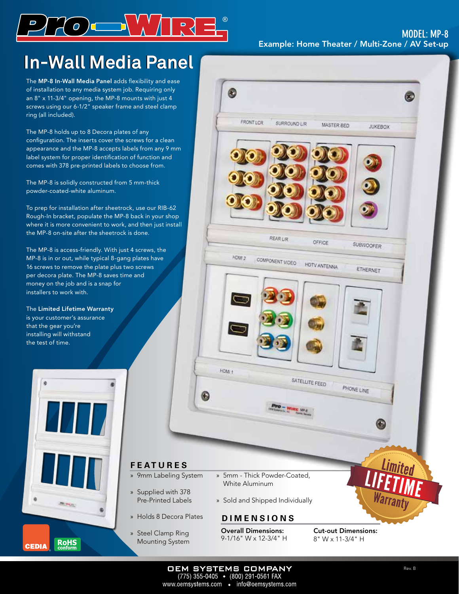

## **In-Wall Media Panel In-Wall Media Panel**

The MP-8 In-Wall Media Panel adds flexibility and ease of installation to any media system job. Requiring only an 8" x 11-3/4" opening, the MP-8 mounts with just 4 screws using our 6-1/2" speaker frame and steel clamp ring (all included).

The MP-8 holds up to 8 Decora plates of any configuration. The inserts cover the screws for a clean appearance and the MP-8 accepts labels from any 9 mm label system for proper identification of function and comes with 378 pre-printed labels to choose from.

The MP-8 is solidly constructed from 5 mm-thick powder-coated-white aluminum.

To prep for installation after sheetrock, use our RIB-62 Rough-In bracket, populate the MP-8 back in your shop where it is more convenient to work, and then just install the MP-8 on-site after the sheetrock is done.

The MP-8 is access-friendly. With just 4 screws, the MP-8 is in or out, while typical 8-gang plates have 16 screws to remove the plate plus two screws per decora plate. The MP-8 saves time and money on the job and is a snap for installers to work with.

The Limited Lifetime Warranty is your customer's assurance that the gear you're installing will withstand the test of time.





Overall Dimensions: 9-1/16" W x 12-3/4" H

» Supplied with 378 Pre-Printed Labels

**F E A T U R E S**

» Steel Clamp Ring Mounting System Cut-out Dimensions: 8" W x 11-3/4" H